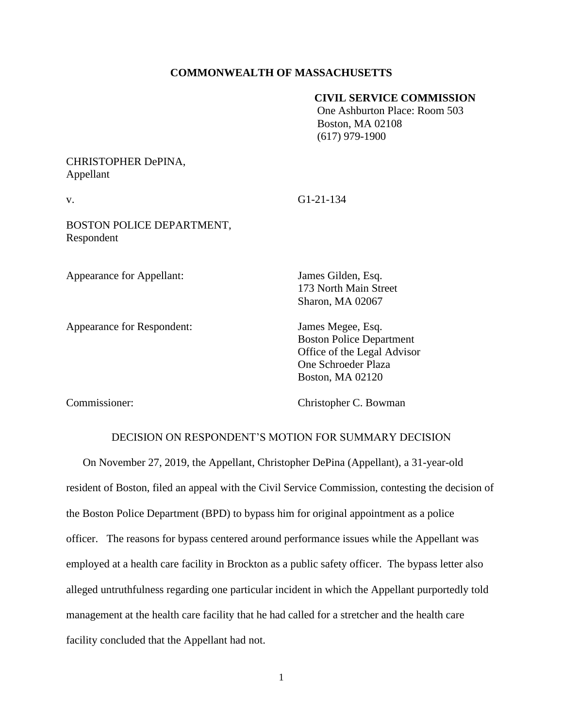## **COMMONWEALTH OF MASSACHUSETTS**

### **CIVIL SERVICE COMMISSION**

 One Ashburton Place: Room 503 Boston, MA 02108 (617) 979-1900

# CHRISTOPHER DePINA, Appellant

v. G1-21-134

BOSTON POLICE DEPARTMENT, Respondent

Appearance for Appellant: James Gilden, Esq.

Appearance for Respondent: James Megee, Esq.

173 North Main Street Sharon, MA 02067

Boston Police Department Office of the Legal Advisor One Schroeder Plaza Boston, MA 02120

Commissioner: Christopher C. Bowman

# DECISION ON RESPONDENT'S MOTION FOR SUMMARY DECISION

On November 27, 2019, the Appellant, Christopher DePina (Appellant), a 31-year-old resident of Boston, filed an appeal with the Civil Service Commission, contesting the decision of the Boston Police Department (BPD) to bypass him for original appointment as a police officer. The reasons for bypass centered around performance issues while the Appellant was employed at a health care facility in Brockton as a public safety officer. The bypass letter also alleged untruthfulness regarding one particular incident in which the Appellant purportedly told management at the health care facility that he had called for a stretcher and the health care facility concluded that the Appellant had not.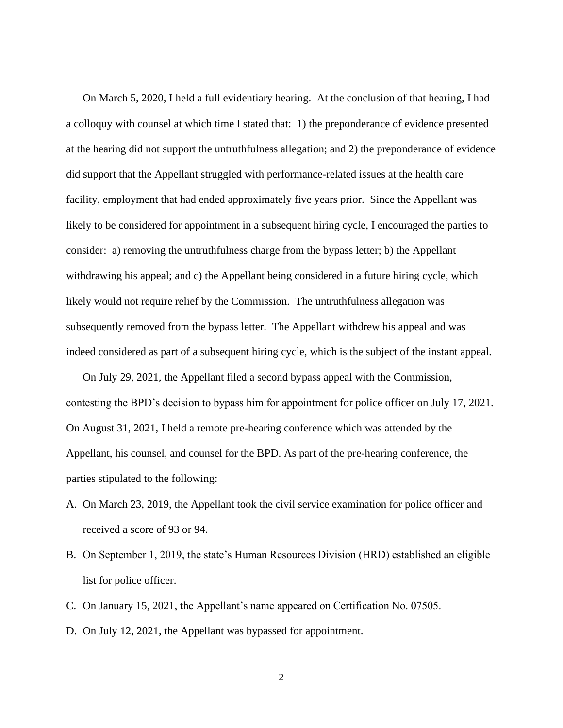On March 5, 2020, I held a full evidentiary hearing. At the conclusion of that hearing, I had a colloquy with counsel at which time I stated that: 1) the preponderance of evidence presented at the hearing did not support the untruthfulness allegation; and 2) the preponderance of evidence did support that the Appellant struggled with performance-related issues at the health care facility, employment that had ended approximately five years prior. Since the Appellant was likely to be considered for appointment in a subsequent hiring cycle, I encouraged the parties to consider: a) removing the untruthfulness charge from the bypass letter; b) the Appellant withdrawing his appeal; and c) the Appellant being considered in a future hiring cycle, which likely would not require relief by the Commission. The untruthfulness allegation was subsequently removed from the bypass letter. The Appellant withdrew his appeal and was indeed considered as part of a subsequent hiring cycle, which is the subject of the instant appeal.

On July 29, 2021, the Appellant filed a second bypass appeal with the Commission, contesting the BPD's decision to bypass him for appointment for police officer on July 17, 2021. On August 31, 2021, I held a remote pre-hearing conference which was attended by the Appellant, his counsel, and counsel for the BPD. As part of the pre-hearing conference, the parties stipulated to the following:

- A. On March 23, 2019, the Appellant took the civil service examination for police officer and received a score of 93 or 94.
- B. On September 1, 2019, the state's Human Resources Division (HRD) established an eligible list for police officer.
- C. On January 15, 2021, the Appellant's name appeared on Certification No. 07505.
- D. On July 12, 2021, the Appellant was bypassed for appointment.

2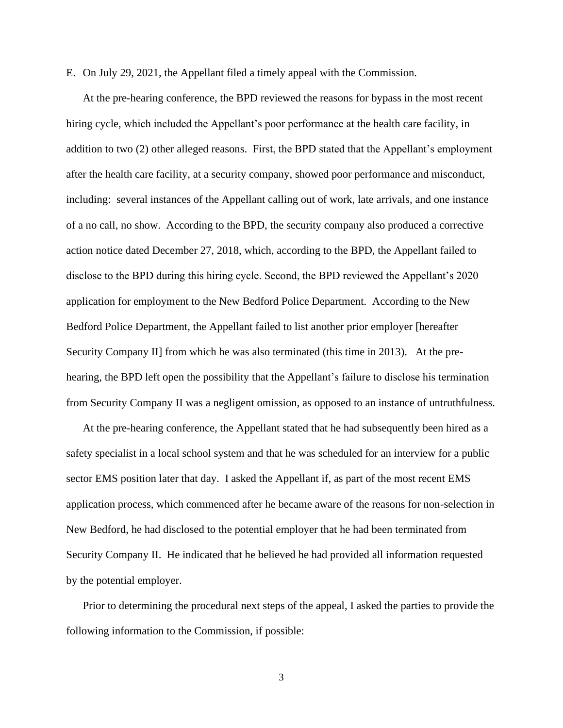E. On July 29, 2021, the Appellant filed a timely appeal with the Commission.

At the pre-hearing conference, the BPD reviewed the reasons for bypass in the most recent hiring cycle, which included the Appellant's poor performance at the health care facility, in addition to two (2) other alleged reasons. First, the BPD stated that the Appellant's employment after the health care facility, at a security company, showed poor performance and misconduct, including: several instances of the Appellant calling out of work, late arrivals, and one instance of a no call, no show. According to the BPD, the security company also produced a corrective action notice dated December 27, 2018, which, according to the BPD, the Appellant failed to disclose to the BPD during this hiring cycle. Second, the BPD reviewed the Appellant's 2020 application for employment to the New Bedford Police Department. According to the New Bedford Police Department, the Appellant failed to list another prior employer [hereafter Security Company II] from which he was also terminated (this time in 2013). At the prehearing, the BPD left open the possibility that the Appellant's failure to disclose his termination from Security Company II was a negligent omission, as opposed to an instance of untruthfulness.

At the pre-hearing conference, the Appellant stated that he had subsequently been hired as a safety specialist in a local school system and that he was scheduled for an interview for a public sector EMS position later that day. I asked the Appellant if, as part of the most recent EMS application process, which commenced after he became aware of the reasons for non-selection in New Bedford, he had disclosed to the potential employer that he had been terminated from Security Company II. He indicated that he believed he had provided all information requested by the potential employer.

Prior to determining the procedural next steps of the appeal, I asked the parties to provide the following information to the Commission, if possible:

3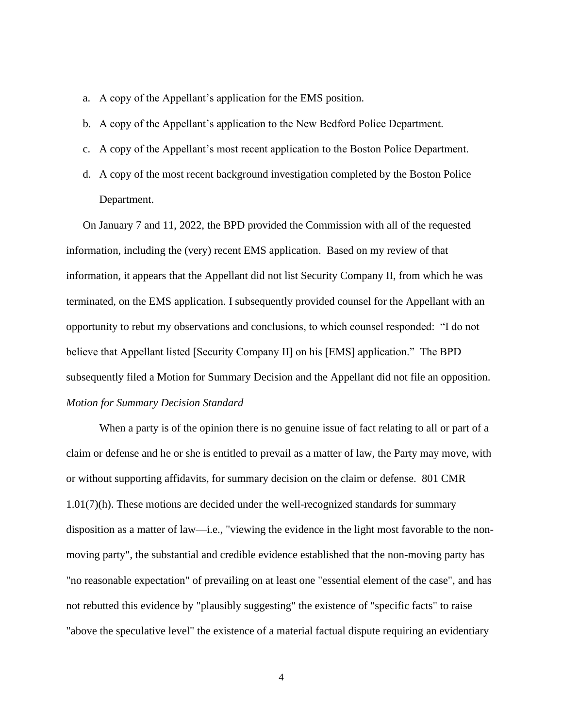- a. A copy of the Appellant's application for the EMS position.
- b. A copy of the Appellant's application to the New Bedford Police Department.
- c. A copy of the Appellant's most recent application to the Boston Police Department.
- d. A copy of the most recent background investigation completed by the Boston Police Department.

On January 7 and 11, 2022, the BPD provided the Commission with all of the requested information, including the (very) recent EMS application. Based on my review of that information, it appears that the Appellant did not list Security Company II, from which he was terminated, on the EMS application. I subsequently provided counsel for the Appellant with an opportunity to rebut my observations and conclusions, to which counsel responded: "I do not believe that Appellant listed [Security Company II] on his [EMS] application." The BPD subsequently filed a Motion for Summary Decision and the Appellant did not file an opposition. *Motion for Summary Decision Standard*

When a party is of the opinion there is no genuine issue of fact relating to all or part of a claim or defense and he or she is entitled to prevail as a matter of law, the Party may move, with or without supporting affidavits, for summary decision on the claim or defense. 801 CMR 1.01(7)(h). These motions are decided under the well-recognized standards for summary disposition as a matter of law—i.e., "viewing the evidence in the light most favorable to the nonmoving party", the substantial and credible evidence established that the non-moving party has "no reasonable expectation" of prevailing on at least one "essential element of the case", and has not rebutted this evidence by "plausibly suggesting" the existence of "specific facts" to raise "above the speculative level" the existence of a material factual dispute requiring an evidentiary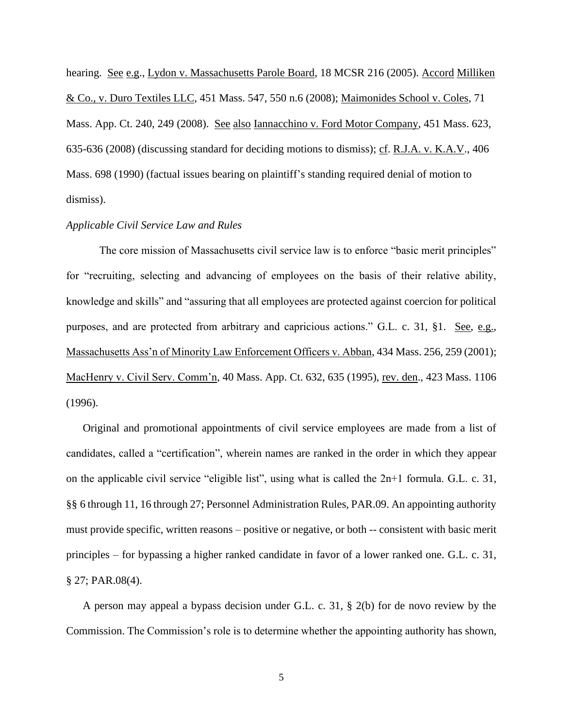hearing. See e.g., Lydon v. Massachusetts Parole Board, 18 MCSR 216 (2005). Accord Milliken & Co., v. Duro Textiles LLC, [451 Mass. 547,](http://sll.gvpi.net/document.php?field=jd&value=sjcapp:451_mass._547) 550 n.6 (2008); Maimonides School v. Coles, 71 Mass. App. Ct. 240, 249 (2008). See also Iannacchino v. Ford Motor Company, [451 Mass. 623,](http://sll.gvpi.net/document.php?field=jd&value=sjcapp:451_mass._623) 635-636 (2008) (discussing standard for deciding motions to dismiss); cf. R.J.A. v. K.A.V., [406](http://sll.gvpi.net/document.php?field=jd&value=sjcapp:406_mass._698)  [Mass. 698](http://sll.gvpi.net/document.php?field=jd&value=sjcapp:406_mass._698) (1990) (factual issues bearing on plaintiff's standing required denial of motion to dismiss).

#### *Applicable Civil Service Law and Rules*

The core mission of Massachusetts civil service law is to enforce "basic merit principles" for "recruiting, selecting and advancing of employees on the basis of their relative ability, knowledge and skills" and "assuring that all employees are protected against coercion for political purposes, and are protected from arbitrary and capricious actions." G.L. c. 31, §1. See, e.g., Massachusetts Ass'n of Minority Law Enforcement Officers v. Abban, 434 Mass. 256, 259 (2001); MacHenry v. Civil Serv. Comm'n, 40 Mass. App. Ct. 632, 635 (1995), rev. den., 423 Mass. 1106 (1996).

Original and promotional appointments of civil service employees are made from a list of candidates, called a "certification", wherein names are ranked in the order in which they appear on the applicable civil service "eligible list", using what is called the 2n+1 formula. G.L. c. 31, §§ 6 through 11, 16 through 27; Personnel Administration Rules, PAR.09. An appointing authority must provide specific, written reasons – positive or negative, or both -- consistent with basic merit principles – for bypassing a higher ranked candidate in favor of a lower ranked one. G.L. c. 31, § 27; PAR.08(4).

A person may appeal a bypass decision under G.L. c. 31, § 2(b) for de novo review by the Commission. The Commission's role is to determine whether the appointing authority has shown,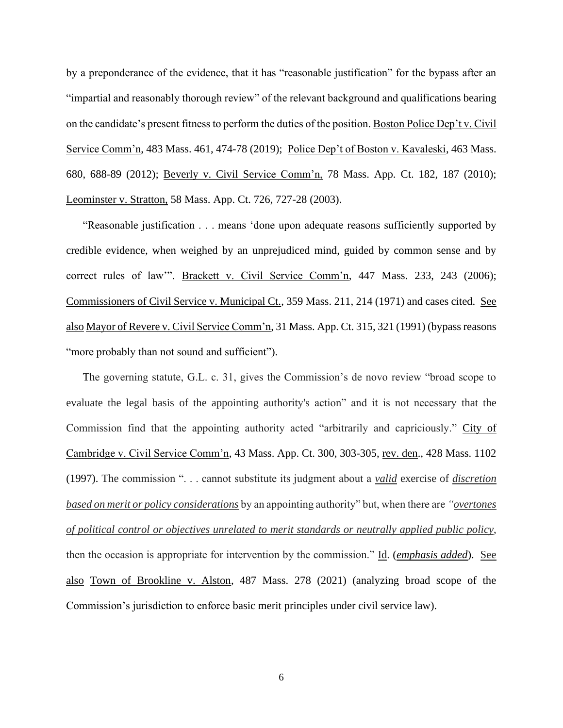by a preponderance of the evidence, that it has "reasonable justification" for the bypass after an "impartial and reasonably thorough review" of the relevant background and qualifications bearing on the candidate's present fitness to perform the duties of the position. Boston Police Dep't v. Civil Service Comm'n, 483 Mass. 461, 474-78 (2019); Police Dep't of Boston v. Kavaleski, 463 Mass. 680, 688-89 (2012); Beverly v. Civil Service Comm'n, 78 Mass. App. Ct. 182, 187 (2010); Leominster v. Stratton, 58 Mass. App. Ct. 726, 727-28 (2003).

"Reasonable justification . . . means 'done upon adequate reasons sufficiently supported by credible evidence, when weighed by an unprejudiced mind, guided by common sense and by correct rules of law'". Brackett v. Civil Service Comm'n, 447 Mass. 233, 243 (2006); Commissioners of Civil Service v. Municipal Ct., 359 Mass. 211, 214 (1971) and cases cited. See also Mayor of Revere v. Civil Service Comm'n, 31 Mass. App. Ct. 315, 321 (1991) (bypass reasons "more probably than not sound and sufficient").

The governing statute, G.L. c. 31, gives the Commission's de novo review "broad scope to evaluate the legal basis of the appointing authority's action" and it is not necessary that the Commission find that the appointing authority acted "arbitrarily and capriciously." City of Cambridge v. Civil Service Comm'n, 43 Mass. App. Ct. 300, 303-305, rev. den., 428 Mass. 1102 (1997). The commission ". . . cannot substitute its judgment about a *valid* exercise of *discretion based on merit or policy considerations* by an appointing authority" but, when there are *"overtones of political control or objectives unrelated to merit standards or neutrally applied public policy*, then the occasion is appropriate for intervention by the commission." Id. (*emphasis added*). See also Town of Brookline v. Alston, 487 Mass. 278 (2021) (analyzing broad scope of the Commission's jurisdiction to enforce basic merit principles under civil service law).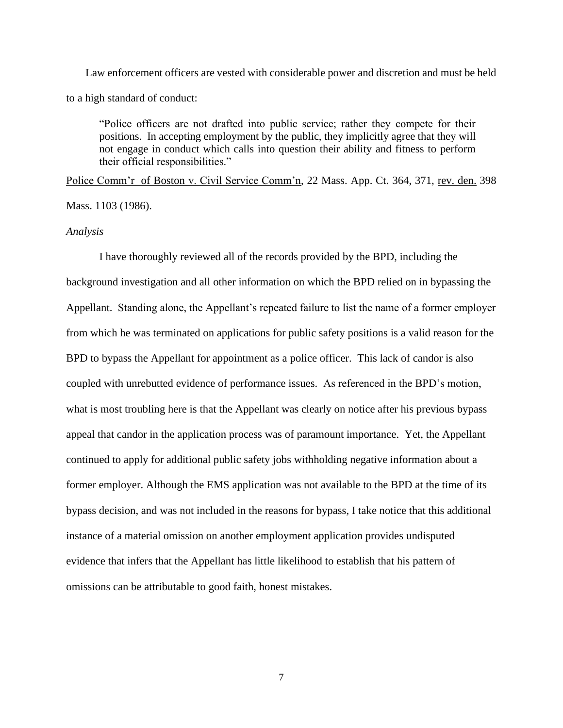Law enforcement officers are vested with considerable power and discretion and must be held to a high standard of conduct:

"Police officers are not drafted into public service; rather they compete for their positions. In accepting employment by the public, they implicitly agree that they will not engage in conduct which calls into question their ability and fitness to perform their official responsibilities."

Police Comm'r of Boston v. Civil Service Comm'n, 22 Mass. App. Ct. 364, 371, rev. den. 398

Mass. 1103 (1986).

#### *Analysis*

I have thoroughly reviewed all of the records provided by the BPD, including the background investigation and all other information on which the BPD relied on in bypassing the Appellant. Standing alone, the Appellant's repeated failure to list the name of a former employer from which he was terminated on applications for public safety positions is a valid reason for the BPD to bypass the Appellant for appointment as a police officer. This lack of candor is also coupled with unrebutted evidence of performance issues. As referenced in the BPD's motion, what is most troubling here is that the Appellant was clearly on notice after his previous bypass appeal that candor in the application process was of paramount importance. Yet, the Appellant continued to apply for additional public safety jobs withholding negative information about a former employer. Although the EMS application was not available to the BPD at the time of its bypass decision, and was not included in the reasons for bypass, I take notice that this additional instance of a material omission on another employment application provides undisputed evidence that infers that the Appellant has little likelihood to establish that his pattern of omissions can be attributable to good faith, honest mistakes.